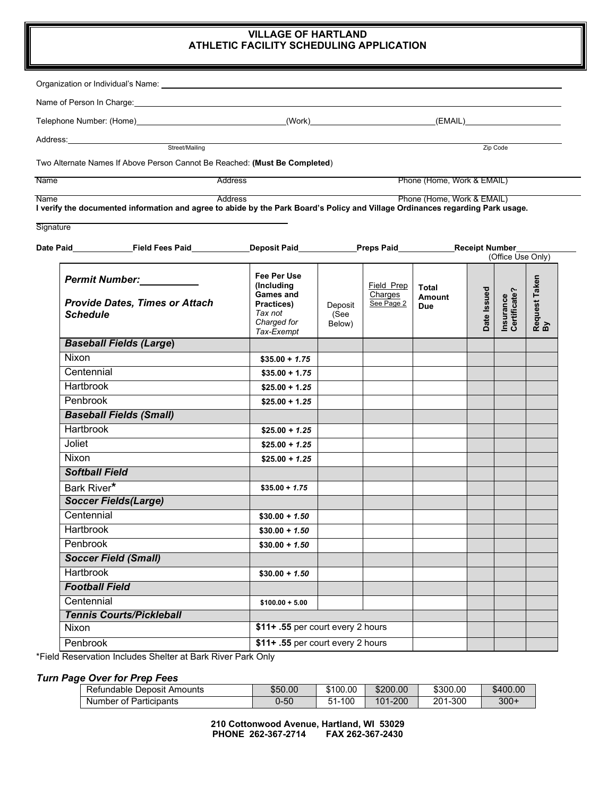## **VILLAGE OF HARTLAND ATHLETIC FACILITY SCHEDULING APPLICATION**

| Name of Person In Charge: <b>Analyze Strategies</b> and the contract of the contract of the contract of the contract of the contract of the contract of the contract of the contract of the contract of the contract of the contrac |                                              |         |                       |                            |                   |                           |                     |
|-------------------------------------------------------------------------------------------------------------------------------------------------------------------------------------------------------------------------------------|----------------------------------------------|---------|-----------------------|----------------------------|-------------------|---------------------------|---------------------|
|                                                                                                                                                                                                                                     |                                              |         |                       |                            |                   |                           |                     |
|                                                                                                                                                                                                                                     |                                              |         |                       |                            |                   |                           |                     |
| Street/Mailing                                                                                                                                                                                                                      |                                              |         |                       |                            |                   | Zip Code                  |                     |
| Two Alternate Names If Above Person Cannot Be Reached: (Must Be Completed)                                                                                                                                                          |                                              |         |                       |                            |                   |                           |                     |
| <b>Name</b>                                                                                                                                                                                                                         | Phone (Home, Work & EMAIL)<br><b>Address</b> |         |                       |                            |                   |                           |                     |
| <b>Address</b><br><b>Name</b>                                                                                                                                                                                                       |                                              |         |                       | Phone (Home, Work & EMAIL) |                   |                           |                     |
| I verify the documented information and agree to abide by the Park Board's Policy and Village Ordinances regarding Park usage.                                                                                                      |                                              |         |                       |                            |                   |                           |                     |
| Signature                                                                                                                                                                                                                           |                                              |         |                       |                            |                   |                           |                     |
|                                                                                                                                                                                                                                     |                                              |         |                       |                            |                   |                           |                     |
| Date Paid_____________Field Fees Paid________________Deposit Paid______________Preps Paid____________Receipt Number_                                                                                                                |                                              |         |                       |                            | (Office Use Only) |                           |                     |
|                                                                                                                                                                                                                                     | Fee Per Use                                  |         |                       |                            |                   |                           |                     |
| Permit Number:                                                                                                                                                                                                                      | (Including)                                  |         | Field Prep            | <b>Total</b>               |                   |                           | Request Taken<br>By |
| <b>Provide Dates, Times or Attach</b>                                                                                                                                                                                               | Games and<br><b>Practices</b> )              | Deposit | Charges<br>See Page 2 | <b>Amount</b>              | Date Issued       | Insurance<br>Certificate? |                     |
| <b>Schedule</b>                                                                                                                                                                                                                     | Tax not                                      | (See    |                       | <b>Due</b>                 |                   |                           |                     |
|                                                                                                                                                                                                                                     | Charged for<br>Tax-Exempt                    | Below)  |                       |                            |                   |                           |                     |
| <b>Baseball Fields (Large)</b>                                                                                                                                                                                                      |                                              |         |                       |                            |                   |                           |                     |
| Nixon                                                                                                                                                                                                                               | $$35.00 + 1.75$                              |         |                       |                            |                   |                           |                     |
| Centennial                                                                                                                                                                                                                          | $$35.00 + 1.75$                              |         |                       |                            |                   |                           |                     |
| Hartbrook                                                                                                                                                                                                                           | $$25.00 + 1.25$                              |         |                       |                            |                   |                           |                     |
| Penbrook                                                                                                                                                                                                                            | $$25.00 + 1.25$                              |         |                       |                            |                   |                           |                     |
| <b>Baseball Fields (Small)</b>                                                                                                                                                                                                      |                                              |         |                       |                            |                   |                           |                     |
| Hartbrook                                                                                                                                                                                                                           | $$25.00 + 1.25$                              |         |                       |                            |                   |                           |                     |
| Joliet                                                                                                                                                                                                                              | $$25.00 + 1.25$                              |         |                       |                            |                   |                           |                     |
| <b>Nixon</b>                                                                                                                                                                                                                        | $$25.00 + 1.25$                              |         |                       |                            |                   |                           |                     |
| <b>Softball Field</b>                                                                                                                                                                                                               |                                              |         |                       |                            |                   |                           |                     |
| Bark River*                                                                                                                                                                                                                         | $$35.00 + 1.75$                              |         |                       |                            |                   |                           |                     |
| <b>Soccer Fields(Large)</b>                                                                                                                                                                                                         |                                              |         |                       |                            |                   |                           |                     |
| Centennial                                                                                                                                                                                                                          | $$30.00 + 1.50$                              |         |                       |                            |                   |                           |                     |
| <b>Hartbrook</b>                                                                                                                                                                                                                    | $$30.00 + 1.50$                              |         |                       |                            |                   |                           |                     |
| Penbrook                                                                                                                                                                                                                            | $$30.00 + 1.50$                              |         |                       |                            |                   |                           |                     |
| <b>Soccer Field (Small)</b>                                                                                                                                                                                                         |                                              |         |                       |                            |                   |                           |                     |
| <b>Hartbrook</b>                                                                                                                                                                                                                    | $$30.00 + 1.50$                              |         |                       |                            |                   |                           |                     |
| <b>Football Field</b>                                                                                                                                                                                                               |                                              |         |                       |                            |                   |                           |                     |
| Centennial                                                                                                                                                                                                                          | $$100.00 + 5.00$                             |         |                       |                            |                   |                           |                     |
| <b>Tennis Courts/Pickleball</b>                                                                                                                                                                                                     |                                              |         |                       |                            |                   |                           |                     |
| Nixon                                                                                                                                                                                                                               | \$11+ .55 per court every 2 hours            |         |                       |                            |                   |                           |                     |
| Penbrook                                                                                                                                                                                                                            | \$11+ .55 per court every 2 hours            |         |                       |                            |                   |                           |                     |

\*Field Reservation Includes Shelter at Bark River Park Only

## *Turn Page Over for Prep Fees*

| Refundable<br>Amounts<br>Deposit | \$50.00  | \$100.00           | \$200.00 | \$300.00 | \$400.00 |
|----------------------------------|----------|--------------------|----------|----------|----------|
| -<br>Number of Participants      | $0 - 50$ | .100<br>т и<br>-וכ | 101-200  | 201-300  | $300 +$  |

**210 Cottonwood Avenue, Hartland, WI 53029 PHONE 262-367-2714 FAX 262-367-2430**